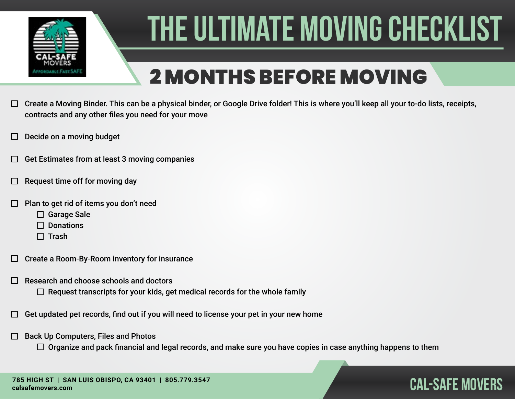

## 2 MONTHS BEFORE MOVING

- Create a Moving Binder. This can be a physical binder, or Google Drive folder! This is where you'll keep all your to-do lists, receipts,  $\Box$ contracts and any other files you need for your move
- Decide on a moving budget
- Get Estimates from at least 3 moving companies
- Request time off for moving day
- Plan to get rid of items you don't need
	- □ Garage Sale
	- $\Box$  Donations
	- $\Box$  Trash
- Create a Room-By-Room inventory for insurance  $\Box$
- Research and choose schools and doctors
	- $\Box$  Request transcripts for your kids, get medical records for the whole family
- Get updated pet records, find out if you will need to license your pet in your new home
- Back Up Computers, Files and Photos  $\Box$ 
	- $\Box$  Organize and pack financial and legal records, and make sure you have copies in case anything happens to them

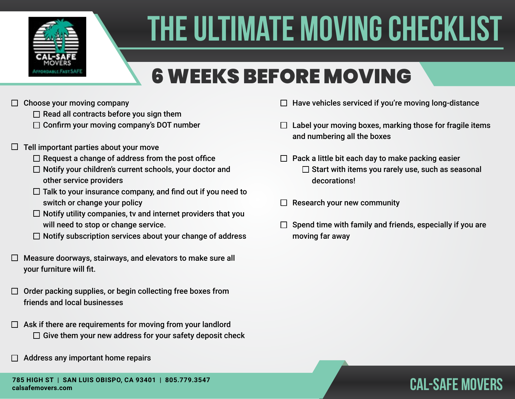

## 6 WEEKS BEFORE MOVING

- $\Box$  Choose your moving company
	- $\Box$  Read all contracts before you sign them
	- $\Box$  Confirm your moving company's DOT number
- $\Box$  Tell important parties about your move
	- $\Box$  Request a change of address from the post office
	- $\Box$  Notify your children's current schools, your doctor and other service providers
	- $\Box$  Talk to your insurance company, and find out if you need to switch or change your policy
	- $\Box$  Notify utility companies, tv and internet providers that you will need to stop or change service.
	- $\Box$  Notify subscription services about your change of address
- $\Box$  Measure doorways, stairways, and elevators to make sure all your furniture will fit.
- $\Box$  Order packing supplies, or begin collecting free boxes from friends and local businesses
- $\Box$  Ask if there are requirements for moving from your landlord  $\Box$  Give them your new address for your safety deposit check
- Address any important home repairs
- $\Box$  Have vehicles serviced if you're moving long-distance
- $\Box$  Label your moving boxes, marking those for fragile items and numbering all the boxes
- $\Box$  Pack a little bit each day to make packing easier  $\square$  Start with items you rarely use, such as seasonal decorations!
- Research your new community  $\Box$
- Spend time with family and friends, especially if you are moving far away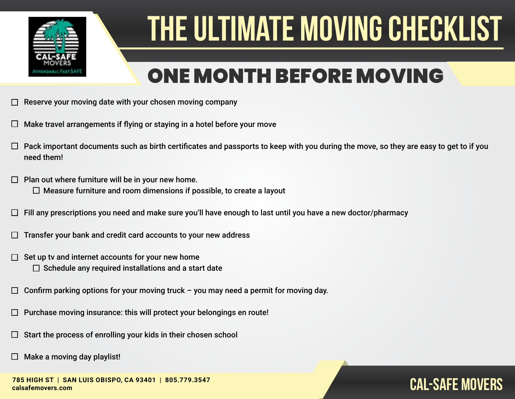

### ONE MONTH BEFORE MOVING

- Reserve your moving date with your chosen moving company
- Make travel arrangements if flying or staying in a hotel before your move
- Pack important documents such as birth certificates and passports to keep with you during the move, so they are easy to get to if you need them!
- Plan out where furniture will be in your new home.  $\Box$  $\Box$  Measure furniture and room dimensions if possible, to create a layout
- Fill any prescriptions you need and make sure you'll have enough to last until you have a new doctor/pharmacy
- Transfer your bank and credit card accounts to your new address
- Set up tv and internet accounts for your new home П  $\Box$  Schedule any required installations and a start date
- Confirm parking options for your moving truck you may need a permit for moving day. П
- Purchase moving insurance: this will protect your belongings en route!
- Start the process of enrolling your kids in their chosen school
- Make a moving day playlist!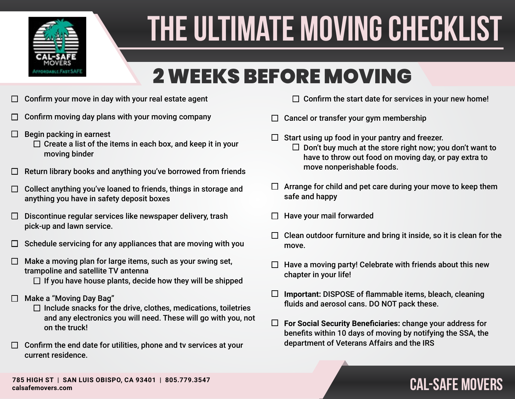

### 2 WEEKS BEFORE MOVING

- Confirm your move in day with your real estate agent  $\Box$
- Confirm moving day plans with your moving company
- Begin packing in earnest  $\Box$ 
	- $\Box$  Create a list of the items in each box, and keep it in your moving binder
- Return library books and anything you've borrowed from friends
- Collect anything you've loaned to friends, things in storage and  $\Box$ anything you have in safety deposit boxes
- Discontinue regular services like newspaper delivery, trash  $\Box$ pick-up and lawn service.
- Schedule servicing for any appliances that are moving with you П
- Make a moving plan for large items, such as your swing set,  $\Box$ trampoline and satellite TV antenna
	- $\Box$  If you have house plants, decide how they will be shipped
- Make a "Moving Day Bag"
	- $\Box$  Include snacks for the drive, clothes, medications, toiletries and any electronics you will need. These will go with you, not on the truck!
- $\Box$  Confirm the end date for utilities, phone and tv services at your current residence.
- $\Box$  Confirm the start date for services in your new home!
- Cancel or transfer your gym membership  $\Box$
- Start using up food in your pantry and freezer.  $\Box$  Don't buy much at the store right now; you don't want to have to throw out food on moving day, or pay extra to move nonperishable foods.
- $\Box$  Arrange for child and pet care during your move to keep them safe and happy
- Have your mail forwarded
- Clean outdoor furniture and bring it inside, so it is clean for the move.
- Have a moving party! Celebrate with friends about this new chapter in your life!
- $\Box$ **Important:** DISPOSE of flammable items, bleach, cleaning fluids and aerosol cans. DO NOT pack these.
- $\Box$ **For Social Security Beneficiaries:** change your address for benefits within 10 days of moving by notifying the SSA, the department of Veterans Affairs and the IRS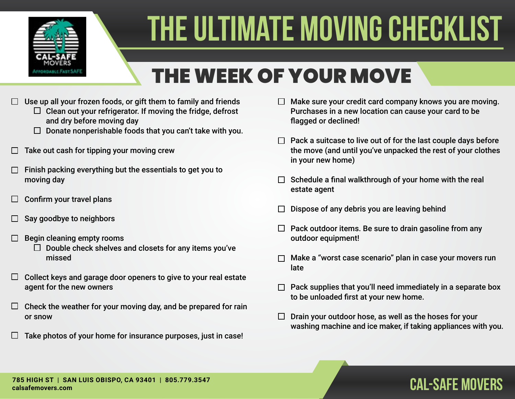

## THE WEEK OF YOUR MOVE

- $\Box$  Use up all your frozen foods, or gift them to family and friends
	- $\Box$  Clean out your refrigerator. If moving the fridge, defrost and dry before moving day
	- $\Box$  Donate nonperishable foods that you can't take with you.
- Take out cash for tipping your moving crew
- Finish packing everything but the essentials to get you to moving day
- Confirm your travel plans  $\Box$
- Say goodbye to neighbors
- Begin cleaning empty rooms
	- $\Box$  Double check shelves and closets for any items you've missed
- Collect keys and garage door openers to give to your real estate  $\Box$ agent for the new owners
- Check the weather for your moving day, and be prepared for rain  $\Box$ or snow
- Take photos of your home for insurance purposes, just in case!  $\mathbf{L}$
- $\Box$  Make sure your credit card company knows you are moving. Purchases in a new location can cause your card to be flagged or declined!
- $\Box$  Pack a suitcase to live out of for the last couple days before the move (and until you've unpacked the rest of your clothes in your new home)
- $\Box$  Schedule a final walkthrough of your home with the real estate agent
- Dispose of any debris you are leaving behind
- $\Box$  Pack outdoor items. Be sure to drain gasoline from any outdoor equipment!
- Make a "worst case scenario" plan in case your movers run late
- Pack supplies that you'll need immediately in a separate box to be unloaded first at your new home.
- $\Box$  Drain your outdoor hose, as well as the hoses for your washing machine and ice maker, if taking appliances with you.

### **CAL-SAFE Movers 785 HIGH ST | SAN LUIS OBISPO, CA 93401 | 805.779.3547 [calsafemovers.com](https://calsafemovers.com/?utm_source=checklist&utm_medium=PDF&utm_campaign=moving_checklist)**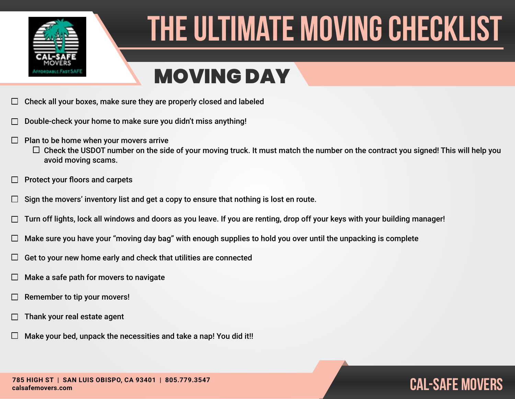

### MOVING DAY

- Check all your boxes, make sure they are properly closed and labeled
- Double-check your home to make sure you didn't miss anything!
- $\Box$ Plan to be home when your movers arrive
	- $\Box$  Check the USDOT number on the side of your moving truck. It must match the number on the contract you signed! This will help you avoid moving scams.
- Protect your floors and carpets  $\Box$
- Sign the movers' inventory list and get a copy to ensure that nothing is lost en route.  $\Box$
- Turn off lights, lock all windows and doors as you leave. If you are renting, drop off your keys with your building manager!
- Make sure you have your "moving day bag" with enough supplies to hold you over until the unpacking is complete
- Get to your new home early and check that utilities are connected ⊔
- Make a safe path for movers to navigate
- Remember to tip your movers!
- Thank your real estate agent
- Make your bed, unpack the necessities and take a nap! You did it!!